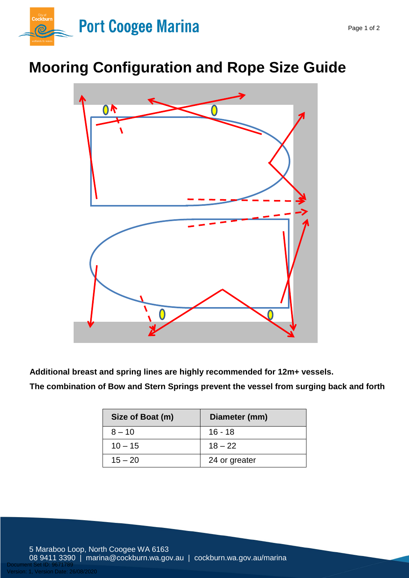

## **Mooring Configuration and Rope Size Guide**



**Additional breast and spring lines are highly recommended for 12m+ vessels.**

**The combination of Bow and Stern Springs prevent the vessel from surging back and forth**

| Size of Boat (m) | Diameter (mm) |
|------------------|---------------|
| $8 - 10$         | $16 - 18$     |
| $10 - 15$        | $18 - 22$     |
| $15 - 20$        | 24 or greater |